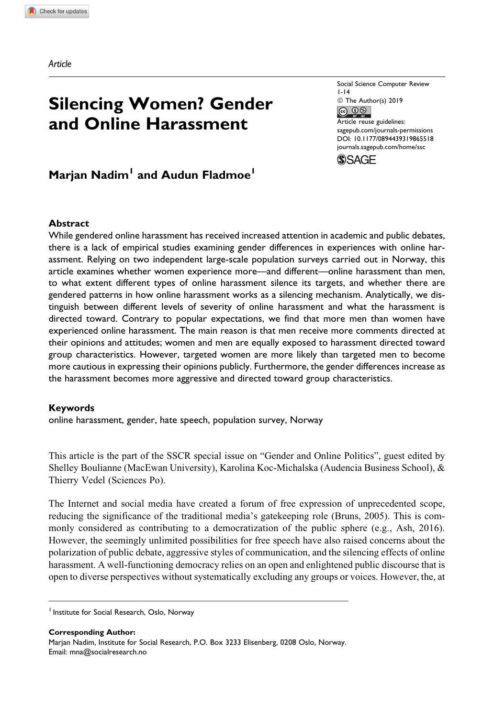Article

# Silencing Women? Gender and Online Harassment

Social Science Computer Review 1-14  $\circledcirc$  The Author(s) 2019<br> $\circledcirc$ Article reuse guidelines: [sagepub.com/journals-permissions](https://sagepub.com/journals-permissions) [DOI: 10.1177/0894439319865518](https://doi.org/10.1177/0894439319865518) [journals.sagepub.com/home/ssc](http://journals.sagepub.com/home/ssc)



## Marjan Nadim<sup>1</sup> and Audun Fladmoe<sup>1</sup>

#### Abstract

While gendered online harassment has received increased attention in academic and public debates, there is a lack of empirical studies examining gender differences in experiences with online harassment. Relying on two independent large-scale population surveys carried out in Norway, this article examines whether women experience more—and different—online harassment than men, to what extent different types of online harassment silence its targets, and whether there are gendered patterns in how online harassment works as a silencing mechanism. Analytically, we distinguish between different levels of severity of online harassment and what the harassment is directed toward. Contrary to popular expectations, we find that more men than women have experienced online harassment. The main reason is that men receive more comments directed at their opinions and attitudes; women and men are equally exposed to harassment directed toward group characteristics. However, targeted women are more likely than targeted men to become more cautious in expressing their opinions publicly. Furthermore, the gender differences increase as the harassment becomes more aggressive and directed toward group characteristics.

#### Keywords

online harassment, gender, hate speech, population survey, Norway

This article is the part of the SSCR special issue on "Gender and Online Politics", guest edited by Shelley Boulianne (MacEwan University), Karolina Koc-Michalska (Audencia Business School), & Thierry Vedel (Sciences Po).

The Internet and social media have created a forum of free expression of unprecedented scope, reducing the significance of the traditional media's gatekeeping role (Bruns, 2005). This is commonly considered as contributing to a democratization of the public sphere (e.g., Ash, 2016). However, the seemingly unlimited possibilities for free speech have also raised concerns about the polarization of public debate, aggressive styles of communication, and the silencing effects of online harassment. A well-functioning democracy relies on an open and enlightened public discourse that is open to diverse perspectives without systematically excluding any groups or voices. However, the, at

<sup>1</sup> Institute for Social Research, Oslo, Norway

Corresponding Author: Marjan Nadim, Institute for Social Research, P.O. Box 3233 Elisenberg, 0208 Oslo, Norway. Email: [mna@socialresearch.no](mailto:mna@socialresearch.no)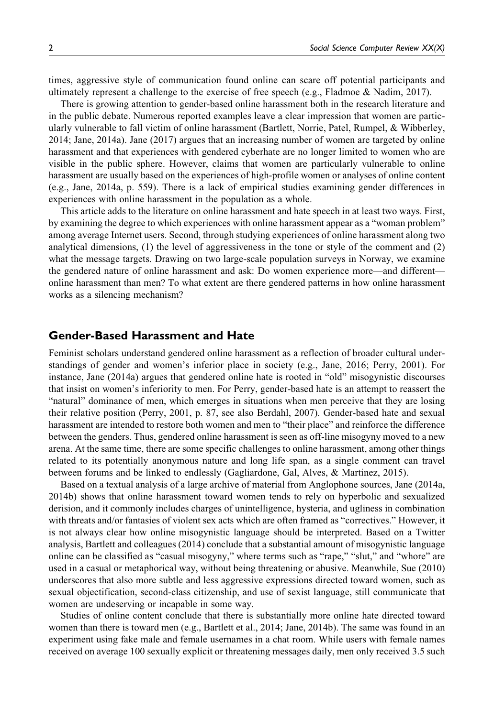times, aggressive style of communication found online can scare off potential participants and ultimately represent a challenge to the exercise of free speech (e.g., Fladmoe & Nadim, 2017).

There is growing attention to gender-based online harassment both in the research literature and in the public debate. Numerous reported examples leave a clear impression that women are particularly vulnerable to fall victim of online harassment (Bartlett, Norrie, Patel, Rumpel, & Wibberley, 2014; Jane, 2014a). Jane (2017) argues that an increasing number of women are targeted by online harassment and that experiences with gendered cyberhate are no longer limited to women who are visible in the public sphere. However, claims that women are particularly vulnerable to online harassment are usually based on the experiences of high-profile women or analyses of online content (e.g., Jane, 2014a, p. 559). There is a lack of empirical studies examining gender differences in experiences with online harassment in the population as a whole.

This article adds to the literature on online harassment and hate speech in at least two ways. First, by examining the degree to which experiences with online harassment appear as a "woman problem" among average Internet users. Second, through studying experiences of online harassment along two analytical dimensions, (1) the level of aggressiveness in the tone or style of the comment and (2) what the message targets. Drawing on two large-scale population surveys in Norway, we examine the gendered nature of online harassment and ask: Do women experience more—and different online harassment than men? To what extent are there gendered patterns in how online harassment works as a silencing mechanism?

## Gender-Based Harassment and Hate

Feminist scholars understand gendered online harassment as a reflection of broader cultural understandings of gender and women's inferior place in society (e.g., Jane, 2016; Perry, 2001). For instance, Jane (2014a) argues that gendered online hate is rooted in "old" misogynistic discourses that insist on women's inferiority to men. For Perry, gender-based hate is an attempt to reassert the "natural" dominance of men, which emerges in situations when men perceive that they are losing their relative position (Perry, 2001, p. 87, see also Berdahl, 2007). Gender-based hate and sexual harassment are intended to restore both women and men to "their place" and reinforce the difference between the genders. Thus, gendered online harassment is seen as off-line misogyny moved to a new arena. At the same time, there are some specific challenges to online harassment, among other things related to its potentially anonymous nature and long life span, as a single comment can travel between forums and be linked to endlessly (Gagliardone, Gal, Alves, & Martinez, 2015).

Based on a textual analysis of a large archive of material from Anglophone sources, Jane (2014a, 2014b) shows that online harassment toward women tends to rely on hyperbolic and sexualized derision, and it commonly includes charges of unintelligence, hysteria, and ugliness in combination with threats and/or fantasies of violent sex acts which are often framed as "correctives." However, it is not always clear how online misogynistic language should be interpreted. Based on a Twitter analysis, Bartlett and colleagues (2014) conclude that a substantial amount of misogynistic language online can be classified as "casual misogyny," where terms such as "rape," "slut," and "whore" are used in a casual or metaphorical way, without being threatening or abusive. Meanwhile, Sue (2010) underscores that also more subtle and less aggressive expressions directed toward women, such as sexual objectification, second-class citizenship, and use of sexist language, still communicate that women are undeserving or incapable in some way.

Studies of online content conclude that there is substantially more online hate directed toward women than there is toward men (e.g., Bartlett et al., 2014; Jane, 2014b). The same was found in an experiment using fake male and female usernames in a chat room. While users with female names received on average 100 sexually explicit or threatening messages daily, men only received 3.5 such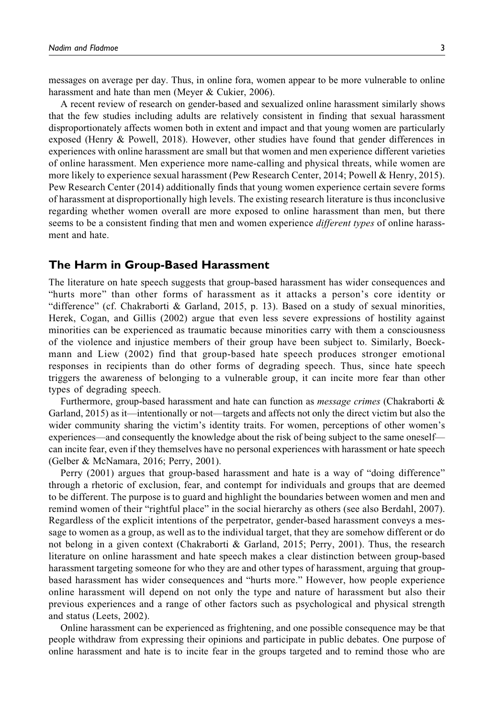messages on average per day. Thus, in online fora, women appear to be more vulnerable to online harassment and hate than men (Meyer & Cukier, 2006).

A recent review of research on gender-based and sexualized online harassment similarly shows that the few studies including adults are relatively consistent in finding that sexual harassment disproportionately affects women both in extent and impact and that young women are particularly exposed (Henry & Powell, 2018). However, other studies have found that gender differences in experiences with online harassment are small but that women and men experience different varieties of online harassment. Men experience more name-calling and physical threats, while women are more likely to experience sexual harassment (Pew Research Center, 2014; Powell & Henry, 2015). Pew Research Center (2014) additionally finds that young women experience certain severe forms of harassment at disproportionally high levels. The existing research literature is thus inconclusive regarding whether women overall are more exposed to online harassment than men, but there seems to be a consistent finding that men and women experience *different types* of online harassment and hate.

## The Harm in Group-Based Harassment

The literature on hate speech suggests that group-based harassment has wider consequences and "hurts more" than other forms of harassment as it attacks a person's core identity or "difference" (cf. Chakraborti & Garland, 2015, p. 13). Based on a study of sexual minorities, Herek, Cogan, and Gillis (2002) argue that even less severe expressions of hostility against minorities can be experienced as traumatic because minorities carry with them a consciousness of the violence and injustice members of their group have been subject to. Similarly, Boeckmann and Liew (2002) find that group-based hate speech produces stronger emotional responses in recipients than do other forms of degrading speech. Thus, since hate speech triggers the awareness of belonging to a vulnerable group, it can incite more fear than other types of degrading speech.

Furthermore, group-based harassment and hate can function as *message crimes* (Chakraborti & Garland, 2015) as it—intentionally or not—targets and affects not only the direct victim but also the wider community sharing the victim's identity traits. For women, perceptions of other women's experiences—and consequently the knowledge about the risk of being subject to the same oneself can incite fear, even if they themselves have no personal experiences with harassment or hate speech (Gelber & McNamara, 2016; Perry, 2001).

Perry (2001) argues that group-based harassment and hate is a way of "doing difference" through a rhetoric of exclusion, fear, and contempt for individuals and groups that are deemed to be different. The purpose is to guard and highlight the boundaries between women and men and remind women of their "rightful place" in the social hierarchy as others (see also Berdahl, 2007). Regardless of the explicit intentions of the perpetrator, gender-based harassment conveys a message to women as a group, as well as to the individual target, that they are somehow different or do not belong in a given context (Chakraborti & Garland, 2015; Perry, 2001). Thus, the research literature on online harassment and hate speech makes a clear distinction between group-based harassment targeting someone for who they are and other types of harassment, arguing that groupbased harassment has wider consequences and "hurts more." However, how people experience online harassment will depend on not only the type and nature of harassment but also their previous experiences and a range of other factors such as psychological and physical strength and status (Leets, 2002).

Online harassment can be experienced as frightening, and one possible consequence may be that people withdraw from expressing their opinions and participate in public debates. One purpose of online harassment and hate is to incite fear in the groups targeted and to remind those who are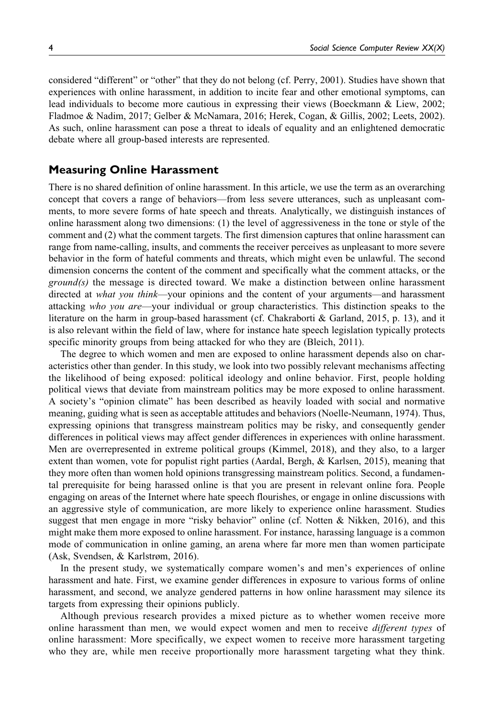considered "different" or "other" that they do not belong (cf. Perry, 2001). Studies have shown that experiences with online harassment, in addition to incite fear and other emotional symptoms, can lead individuals to become more cautious in expressing their views (Boeckmann & Liew, 2002; Fladmoe & Nadim, 2017; Gelber & McNamara, 2016; Herek, Cogan, & Gillis, 2002; Leets, 2002). As such, online harassment can pose a threat to ideals of equality and an enlightened democratic debate where all group-based interests are represented.

## Measuring Online Harassment

There is no shared definition of online harassment. In this article, we use the term as an overarching concept that covers a range of behaviors—from less severe utterances, such as unpleasant comments, to more severe forms of hate speech and threats. Analytically, we distinguish instances of online harassment along two dimensions: (1) the level of aggressiveness in the tone or style of the comment and (2) what the comment targets. The first dimension captures that online harassment can range from name-calling, insults, and comments the receiver perceives as unpleasant to more severe behavior in the form of hateful comments and threats, which might even be unlawful. The second dimension concerns the content of the comment and specifically what the comment attacks, or the  $ground(s)$  the message is directed toward. We make a distinction between online harassment directed at *what you think*—your opinions and the content of your arguments—and harassment attacking who you are—your individual or group characteristics. This distinction speaks to the literature on the harm in group-based harassment (cf. Chakraborti & Garland, 2015, p. 13), and it is also relevant within the field of law, where for instance hate speech legislation typically protects specific minority groups from being attacked for who they are (Bleich, 2011).

The degree to which women and men are exposed to online harassment depends also on characteristics other than gender. In this study, we look into two possibly relevant mechanisms affecting the likelihood of being exposed: political ideology and online behavior. First, people holding political views that deviate from mainstream politics may be more exposed to online harassment. A society's "opinion climate" has been described as heavily loaded with social and normative meaning, guiding what is seen as acceptable attitudes and behaviors (Noelle-Neumann, 1974). Thus, expressing opinions that transgress mainstream politics may be risky, and consequently gender differences in political views may affect gender differences in experiences with online harassment. Men are overrepresented in extreme political groups (Kimmel, 2018), and they also, to a larger extent than women, vote for populist right parties (Aardal, Bergh, & Karlsen, 2015), meaning that they more often than women hold opinions transgressing mainstream politics. Second, a fundamental prerequisite for being harassed online is that you are present in relevant online fora. People engaging on areas of the Internet where hate speech flourishes, or engage in online discussions with an aggressive style of communication, are more likely to experience online harassment. Studies suggest that men engage in more "risky behavior" online (cf. Notten & Nikken, 2016), and this might make them more exposed to online harassment. For instance, harassing language is a common mode of communication in online gaming, an arena where far more men than women participate (Ask, Svendsen, & Karlstrøm, 2016).

In the present study, we systematically compare women's and men's experiences of online harassment and hate. First, we examine gender differences in exposure to various forms of online harassment, and second, we analyze gendered patterns in how online harassment may silence its targets from expressing their opinions publicly.

Although previous research provides a mixed picture as to whether women receive more online harassment than men, we would expect women and men to receive *different types* of online harassment: More specifically, we expect women to receive more harassment targeting who they are, while men receive proportionally more harassment targeting what they think.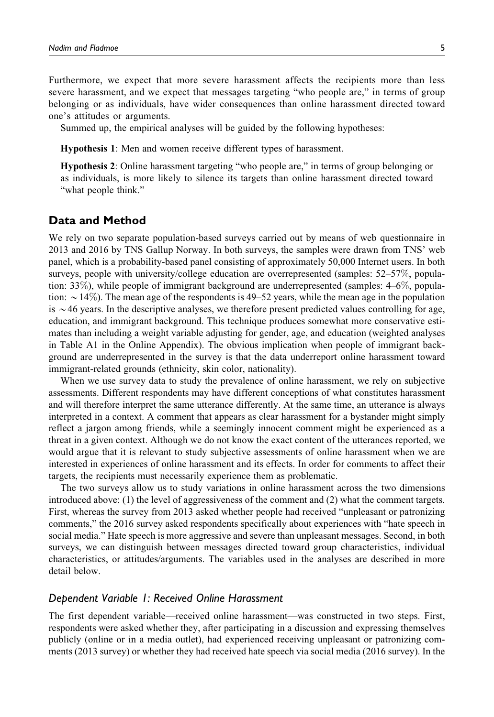Furthermore, we expect that more severe harassment affects the recipients more than less severe harassment, and we expect that messages targeting "who people are," in terms of group belonging or as individuals, have wider consequences than online harassment directed toward one's attitudes or arguments.

Summed up, the empirical analyses will be guided by the following hypotheses:

Hypothesis 1: Men and women receive different types of harassment.

Hypothesis 2: Online harassment targeting "who people are," in terms of group belonging or as individuals, is more likely to silence its targets than online harassment directed toward "what people think."

## Data and Method

We rely on two separate population-based surveys carried out by means of web questionnaire in 2013 and 2016 by TNS Gallup Norway. In both surveys, the samples were drawn from TNS' web panel, which is a probability-based panel consisting of approximately 50,000 Internet users. In both surveys, people with university/college education are overrepresented (samples: 52–57%, population: 33%), while people of immigrant background are underrepresented (samples: 4–6%, population:  $\sim$  14%). The mean age of the respondents is 49–52 years, while the mean age in the population is  $\sim$ 46 years. In the descriptive analyses, we therefore present predicted values controlling for age, education, and immigrant background. This technique produces somewhat more conservative estimates than including a weight variable adjusting for gender, age, and education (weighted analyses in Table A1 in the Online Appendix). The obvious implication when people of immigrant background are underrepresented in the survey is that the data underreport online harassment toward immigrant-related grounds (ethnicity, skin color, nationality).

When we use survey data to study the prevalence of online harassment, we rely on subjective assessments. Different respondents may have different conceptions of what constitutes harassment and will therefore interpret the same utterance differently. At the same time, an utterance is always interpreted in a context. A comment that appears as clear harassment for a bystander might simply reflect a jargon among friends, while a seemingly innocent comment might be experienced as a threat in a given context. Although we do not know the exact content of the utterances reported, we would argue that it is relevant to study subjective assessments of online harassment when we are interested in experiences of online harassment and its effects. In order for comments to affect their targets, the recipients must necessarily experience them as problematic.

The two surveys allow us to study variations in online harassment across the two dimensions introduced above: (1) the level of aggressiveness of the comment and (2) what the comment targets. First, whereas the survey from 2013 asked whether people had received "unpleasant or patronizing comments," the 2016 survey asked respondents specifically about experiences with "hate speech in social media." Hate speech is more aggressive and severe than unpleasant messages. Second, in both surveys, we can distinguish between messages directed toward group characteristics, individual characteristics, or attitudes/arguments. The variables used in the analyses are described in more detail below.

## Dependent Variable 1: Received Online Harassment

The first dependent variable—received online harassment—was constructed in two steps. First, respondents were asked whether they, after participating in a discussion and expressing themselves publicly (online or in a media outlet), had experienced receiving unpleasant or patronizing comments (2013 survey) or whether they had received hate speech via social media (2016 survey). In the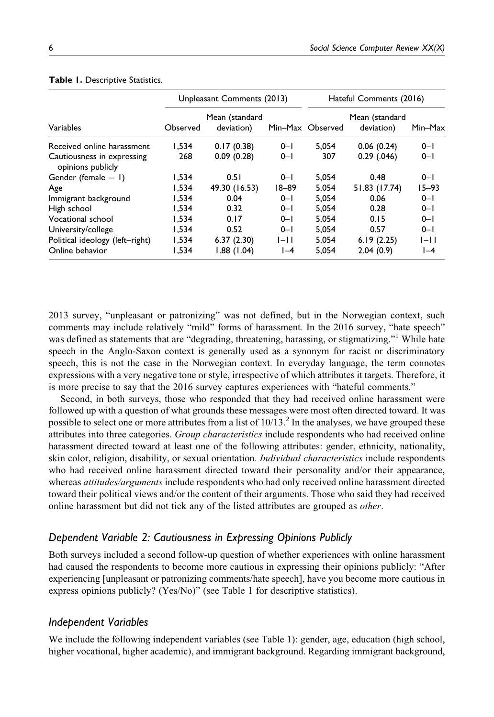|                                                 |                                          | Unpleasant Comments (2013) |           | Hateful Comments (2016) |                              |           |  |
|-------------------------------------------------|------------------------------------------|----------------------------|-----------|-------------------------|------------------------------|-----------|--|
| Variables                                       | Mean (standard<br>deviation)<br>Observed |                            |           | Min-Max Observed        | Mean (standard<br>deviation) | Min-Max   |  |
| Received online harassment                      | 1.534                                    | 0.17(0.38)                 | $0 - 1$   | 5.054                   | 0.06(0.24)                   | $0 - 1$   |  |
| Cautiousness in expressing<br>opinions publicly | 268                                      | 0.09(0.28)                 | $0 - 1$   | 307                     | $0.29$ $(.046)$              | $0 - 1$   |  |
| Gender (female $= 1$ )                          | 1.534                                    | 0.51                       | $0 - 1$   | 5.054                   | 0.48                         | $0 - 1$   |  |
| Age                                             | 1.534                                    | 49.30 (16.53)              | $18 - 89$ | 5.054                   | 51.83 (17.74)                | $15 - 93$ |  |
| Immigrant background                            | 1,534                                    | 0.04                       | $0 - 1$   | 5.054                   | 0.06                         | $0 - 1$   |  |
| High school                                     | 1.534                                    | 0.32                       | $0 - 1$   | 5.054                   | 0.28                         | $0 - 1$   |  |
| Vocational school                               | 1.534                                    | 0.17                       | $0 - 1$   | 5.054                   | 0.15                         | $0 - 1$   |  |
| University/college                              | 1,534                                    | 0.52                       | $0 - 1$   | 5.054                   | 0.57                         | $0 - 1$   |  |
| Political ideology (left-right)                 | 1,534                                    | 6.37(2.30)                 | $I-I$     | 5.054                   | 6.19(2.25)                   | $ - $     |  |
| Online behavior                                 | 1.534                                    | 1.88 (1.04)                | $I-4$     | 5.054                   | 2.04(0.9)                    | $I-4$     |  |

#### Table 1. Descriptive Statistics.

2013 survey, "unpleasant or patronizing" was not defined, but in the Norwegian context, such comments may include relatively "mild" forms of harassment. In the 2016 survey, "hate speech" was defined as statements that are "degrading, threatening, harassing, or stigmatizing."<sup>1</sup> While hate speech in the Anglo-Saxon context is generally used as a synonym for racist or discriminatory speech, this is not the case in the Norwegian context. In everyday language, the term connotes expressions with a very negative tone or style, irrespective of which attributes it targets. Therefore, it is more precise to say that the 2016 survey captures experiences with "hateful comments."

Second, in both surveys, those who responded that they had received online harassment were followed up with a question of what grounds these messages were most often directed toward. It was possible to select one or more attributes from a list of  $10/13<sup>2</sup>$ . In the analyses, we have grouped these attributes into three categories. Group characteristics include respondents who had received online harassment directed toward at least one of the following attributes: gender, ethnicity, nationality, skin color, religion, disability, or sexual orientation. *Individual characteristics* include respondents who had received online harassment directed toward their personality and/or their appearance, whereas *attitudes/arguments* include respondents who had only received online harassment directed toward their political views and/or the content of their arguments. Those who said they had received online harassment but did not tick any of the listed attributes are grouped as other.

## Dependent Variable 2: Cautiousness in Expressing Opinions Publicly

Both surveys included a second follow-up question of whether experiences with online harassment had caused the respondents to become more cautious in expressing their opinions publicly: "After experiencing [unpleasant or patronizing comments/hate speech], have you become more cautious in express opinions publicly? (Yes/No)" (see Table 1 for descriptive statistics).

## Independent Variables

We include the following independent variables (see Table 1): gender, age, education (high school, higher vocational, higher academic), and immigrant background. Regarding immigrant background,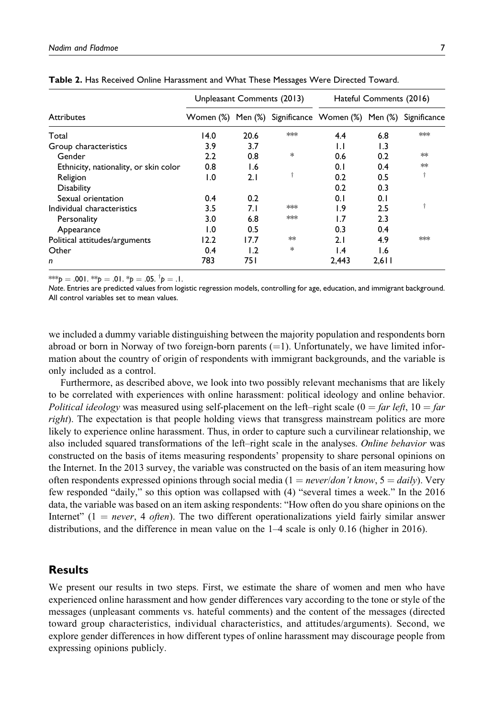|                                       | Unpleasant Comments (2013) |      |        | Hateful Comments (2016)                                       |       |     |  |
|---------------------------------------|----------------------------|------|--------|---------------------------------------------------------------|-------|-----|--|
| <b>Attributes</b>                     |                            |      |        | Women (%) Men (%) Significance Women (%) Men (%) Significance |       |     |  |
| Total                                 | 14.0                       | 20.6 | $*$    | 4.4                                                           | 6.8   | $*$ |  |
| Group characteristics                 | 3.9                        | 3.7  |        | $\mathsf{L}$                                                  | 1.3   |     |  |
| Gender                                | 2.2                        | 0.8  | $\ast$ | 0.6                                                           | 0.2   | ∗∗  |  |
| Ethnicity, nationality, or skin color | 0.8                        | 1.6  |        | 0.1                                                           | 0.4   | ∗∗  |  |
| Religion                              | 1.0                        | 2.1  |        | 0.2                                                           | 0.5   |     |  |
| <b>Disability</b>                     |                            |      |        | 0.2                                                           | 0.3   |     |  |
| Sexual orientation                    | 0.4                        | 0.2  |        | 0.1                                                           | 0.1   |     |  |
| Individual characteristics            | 3.5                        | 7.I  | $*$    | $\overline{1.9}$                                              | 2.5   |     |  |
| Personality                           | 3.0                        | 6.8  | $*$    | 1.7                                                           | 2.3   |     |  |
| Appearance                            | 1.0                        | 0.5  |        | 0.3                                                           | 0.4   |     |  |
| Political attitudes/arguments         | 12.2                       | 17.7 | ∗∗     | 2.1                                                           | 4.9   | $*$ |  |
| Other                                 | 0.4                        | 1.2  | $\ast$ | I.4                                                           | I.6   |     |  |
| n                                     | 783                        | 75 I |        | 2.443                                                         | 2.611 |     |  |

Table 2. Has Received Online Harassment and What These Messages Were Directed Toward.

\*\*\* $p = .001$ . \*\* $p = .01$ . \* $p = .05$ .  $^{\dagger}p = .1$ .

Note. Entries are predicted values from logistic regression models, controlling for age, education, and immigrant background. All control variables set to mean values.

we included a dummy variable distinguishing between the majority population and respondents born abroad or born in Norway of two foreign-born parents  $(=1)$ . Unfortunately, we have limited information about the country of origin of respondents with immigrant backgrounds, and the variable is only included as a control.

Furthermore, as described above, we look into two possibly relevant mechanisms that are likely to be correlated with experiences with online harassment: political ideology and online behavior. Political ideology was measured using self-placement on the left–right scale ( $0 = \text{far left}$ ,  $10 = \text{far}$ right). The expectation is that people holding views that transgress mainstream politics are more likely to experience online harassment. Thus, in order to capture such a curvilinear relationship, we also included squared transformations of the left–right scale in the analyses. Online behavior was constructed on the basis of items measuring respondents' propensity to share personal opinions on the Internet. In the 2013 survey, the variable was constructed on the basis of an item measuring how often respondents expressed opinions through social media ( $1 = never/don't know, 5 = daily$ ). Very few responded "daily," so this option was collapsed with (4) "several times a week." In the 2016 data, the variable was based on an item asking respondents: "How often do you share opinions on the Internet"  $(1 = never, 4 often)$ . The two different operationalizations yield fairly similar answer distributions, and the difference in mean value on the 1–4 scale is only 0.16 (higher in 2016).

## **Results**

We present our results in two steps. First, we estimate the share of women and men who have experienced online harassment and how gender differences vary according to the tone or style of the messages (unpleasant comments vs. hateful comments) and the content of the messages (directed toward group characteristics, individual characteristics, and attitudes/arguments). Second, we explore gender differences in how different types of online harassment may discourage people from expressing opinions publicly.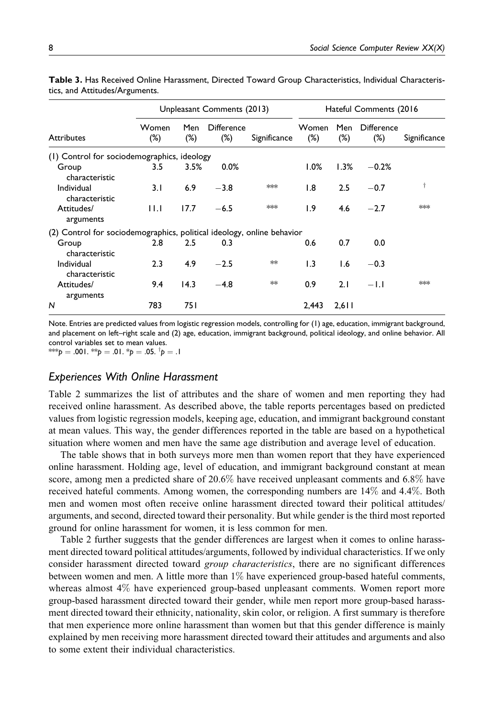|                                                                        | Unpleasant Comments (2013) |               |                             |              | Hateful Comments (2016) |               |                             |              |
|------------------------------------------------------------------------|----------------------------|---------------|-----------------------------|--------------|-------------------------|---------------|-----------------------------|--------------|
| <b>Attributes</b>                                                      | Women<br>(%)               | Men<br>$(\%)$ | <b>Difference</b><br>$(\%)$ | Significance | Women<br>$(\%)$         | Men<br>$(\%)$ | <b>Difference</b><br>$(\%)$ | Significance |
| (1) Control for sociodemographics, ideology                            |                            |               |                             |              |                         |               |                             |              |
| Group<br>characteristic                                                | 3.5                        | 3.5%          | 0.0%                        |              | 1.0%                    | 1.3%          | $-0.2%$                     |              |
| Individual<br>characteristic                                           | 3.1                        | 6.9           | $-3.8$                      | $**$         | $\overline{1.8}$        | 2.5           | $-0.7$                      | Ť            |
| Attitudes/<br>arguments                                                | 11.1                       | 17.7          | $-6.5$                      | $**$         | 1.9                     | 4.6           | $-2.7$                      | $*$          |
| (2) Control for sociodemographics, political ideology, online behavior |                            |               |                             |              |                         |               |                             |              |
| Group<br>characteristic                                                | 2.8 <sup>°</sup>           | 2.5           | 0.3                         |              | 0.6                     | 0.7           | 0.0                         |              |
| Individual<br>characteristic                                           | 2.3                        | 4.9           | $-2.5$                      | **           | $\overline{1.3}$        | 1.6           | $-0.3$                      |              |
| Attitudes/<br>arguments                                                | 9.4                        | 14.3          | $-4.8$                      | **           | 0.9                     | 2.1           | $-1.1$                      | $*$          |
| N                                                                      | 783                        | 75 I          |                             |              | 2,443                   | 2,611         |                             |              |

Table 3. Has Received Online Harassment, Directed Toward Group Characteristics, Individual Characteristics, and Attitudes/Arguments.

Note. Entries are predicted values from logistic regression models, controlling for (1) age, education, immigrant background, and placement on left–right scale and (2) age, education, immigrant background, political ideology, and online behavior. All control variables set to mean values. \*\*\* $p = .001$ . \*\* $p = .01$ . \* $p = .05$ .  $^{\dagger}p = .1$ 

#### Experiences With Online Harassment

Table 2 summarizes the list of attributes and the share of women and men reporting they had received online harassment. As described above, the table reports percentages based on predicted values from logistic regression models, keeping age, education, and immigrant background constant at mean values. This way, the gender differences reported in the table are based on a hypothetical situation where women and men have the same age distribution and average level of education.

The table shows that in both surveys more men than women report that they have experienced online harassment. Holding age, level of education, and immigrant background constant at mean score, among men a predicted share of 20.6% have received unpleasant comments and 6.8% have received hateful comments. Among women, the corresponding numbers are 14% and 4.4%. Both men and women most often receive online harassment directed toward their political attitudes/ arguments, and second, directed toward their personality. But while gender is the third most reported ground for online harassment for women, it is less common for men.

Table 2 further suggests that the gender differences are largest when it comes to online harassment directed toward political attitudes/arguments, followed by individual characteristics. If we only consider harassment directed toward group characteristics, there are no significant differences between women and men. A little more than 1% have experienced group-based hateful comments, whereas almost 4% have experienced group-based unpleasant comments. Women report more group-based harassment directed toward their gender, while men report more group-based harassment directed toward their ethnicity, nationality, skin color, or religion. A first summary is therefore that men experience more online harassment than women but that this gender difference is mainly explained by men receiving more harassment directed toward their attitudes and arguments and also to some extent their individual characteristics.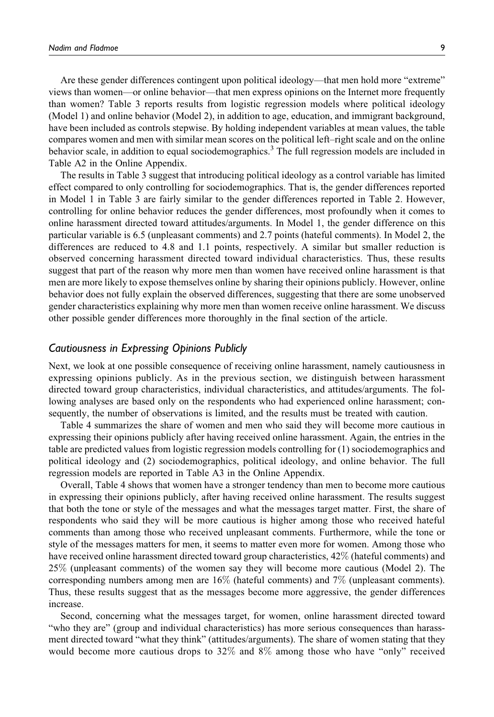Are these gender differences contingent upon political ideology—that men hold more "extreme" views than women—or online behavior—that men express opinions on the Internet more frequently than women? Table 3 reports results from logistic regression models where political ideology (Model 1) and online behavior (Model 2), in addition to age, education, and immigrant background, have been included as controls stepwise. By holding independent variables at mean values, the table compares women and men with similar mean scores on the political left–right scale and on the online behavior scale, in addition to equal sociodemographics.<sup>3</sup> The full regression models are included in Table A2 in the Online Appendix.

The results in Table 3 suggest that introducing political ideology as a control variable has limited effect compared to only controlling for sociodemographics. That is, the gender differences reported in Model 1 in Table 3 are fairly similar to the gender differences reported in Table 2. However, controlling for online behavior reduces the gender differences, most profoundly when it comes to online harassment directed toward attitudes/arguments. In Model 1, the gender difference on this particular variable is 6.5 (unpleasant comments) and 2.7 points (hateful comments). In Model 2, the differences are reduced to 4.8 and 1.1 points, respectively. A similar but smaller reduction is observed concerning harassment directed toward individual characteristics. Thus, these results suggest that part of the reason why more men than women have received online harassment is that men are more likely to expose themselves online by sharing their opinions publicly. However, online behavior does not fully explain the observed differences, suggesting that there are some unobserved gender characteristics explaining why more men than women receive online harassment. We discuss other possible gender differences more thoroughly in the final section of the article.

## Cautiousness in Expressing Opinions Publicly

Next, we look at one possible consequence of receiving online harassment, namely cautiousness in expressing opinions publicly. As in the previous section, we distinguish between harassment directed toward group characteristics, individual characteristics, and attitudes/arguments. The following analyses are based only on the respondents who had experienced online harassment; consequently, the number of observations is limited, and the results must be treated with caution.

Table 4 summarizes the share of women and men who said they will become more cautious in expressing their opinions publicly after having received online harassment. Again, the entries in the table are predicted values from logistic regression models controlling for (1) sociodemographics and political ideology and (2) sociodemographics, political ideology, and online behavior. The full regression models are reported in Table A3 in the Online Appendix.

Overall, Table 4 shows that women have a stronger tendency than men to become more cautious in expressing their opinions publicly, after having received online harassment. The results suggest that both the tone or style of the messages and what the messages target matter. First, the share of respondents who said they will be more cautious is higher among those who received hateful comments than among those who received unpleasant comments. Furthermore, while the tone or style of the messages matters for men, it seems to matter even more for women. Among those who have received online harassment directed toward group characteristics, 42% (hateful comments) and 25% (unpleasant comments) of the women say they will become more cautious (Model 2). The corresponding numbers among men are 16% (hateful comments) and 7% (unpleasant comments). Thus, these results suggest that as the messages become more aggressive, the gender differences increase.

Second, concerning what the messages target, for women, online harassment directed toward "who they are" (group and individual characteristics) has more serious consequences than harassment directed toward "what they think" (attitudes/arguments). The share of women stating that they would become more cautious drops to 32% and 8% among those who have "only" received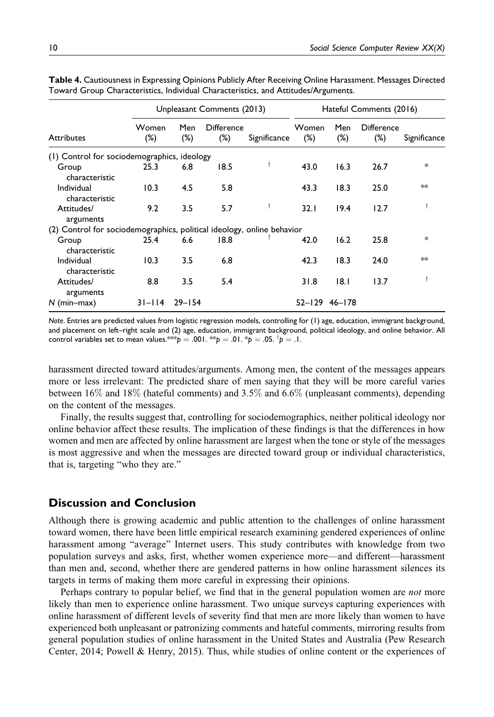|                                                                        | Unpleasant Comments (2013) |               |                      |              | Hateful Comments (2016) |               |                             |              |
|------------------------------------------------------------------------|----------------------------|---------------|----------------------|--------------|-------------------------|---------------|-----------------------------|--------------|
| <b>Attributes</b>                                                      | Women<br>$(\%)$            | Men<br>$(\%)$ | Difference<br>$(\%)$ | Significance | Women<br>$(\%)$         | Men<br>$(\%)$ | <b>Difference</b><br>$(\%)$ | Significance |
| (1) Control for sociodemographics, ideology                            |                            |               |                      |              |                         |               |                             |              |
| Group<br>characteristic                                                | 25.3                       | 6.8           | 18.5                 | t            | 43.0                    | 16.3          | 26.7                        | $\ast$       |
| Individual<br>characteristic                                           | 10.3                       | 4.5           | 5.8                  |              | 43.3                    | 18.3          | 25.0                        | ∗×           |
| Attitudes/<br>arguments                                                | 9.2                        | 3.5           | 5.7                  | t            | 32.1                    | 19.4          | 12.7                        | t            |
| (2) Control for sociodemographics, political ideology, online behavior |                            |               |                      |              |                         |               |                             |              |
| Group<br>characteristic                                                | 25.4                       | 6.6           | 18.8                 |              | 42.0                    | 16.2          | 25.8                        | *            |
| Individual<br>characteristic                                           | 10.3                       | 3.5           | 6.8                  |              | 42.3                    | 18.3          | 24.0                        | ∗∗           |
| Attitudes/<br>arguments                                                | 8.8                        | 3.5           | 5.4                  |              | 31.8                    | 8.1           | 13.7                        | t            |
| $N$ (min-max)                                                          | $31 - 114$                 | $29 - 154$    |                      |              | $52 - 129$ 46-178       |               |                             |              |

Table 4. Cautiousness in Expressing Opinions Publicly After Receiving Online Harassment. Messages Directed Toward Group Characteristics, Individual Characteristics, and Attitudes/Arguments.

Note. Entries are predicted values from logistic regression models, controlling for (1) age, education, immigrant background, and placement on left–right scale and (2) age, education, immigrant background, political ideology, and online behavior. All control variables set to mean values. $^{*\!\!*\!\!*\!\!*\!\!*\!}p = .001.$   $^{*\!\!*\!\!*}p = .01.$   $^{*\!\!*}\!p = .05.$   $^{^\dagger}\!p = .1.$ 

harassment directed toward attitudes/arguments. Among men, the content of the messages appears more or less irrelevant: The predicted share of men saying that they will be more careful varies between 16% and 18% (hateful comments) and 3.5% and 6.6% (unpleasant comments), depending on the content of the messages.

Finally, the results suggest that, controlling for sociodemographics, neither political ideology nor online behavior affect these results. The implication of these findings is that the differences in how women and men are affected by online harassment are largest when the tone or style of the messages is most aggressive and when the messages are directed toward group or individual characteristics, that is, targeting "who they are."

## Discussion and Conclusion

Although there is growing academic and public attention to the challenges of online harassment toward women, there have been little empirical research examining gendered experiences of online harassment among "average" Internet users. This study contributes with knowledge from two population surveys and asks, first, whether women experience more—and different—harassment than men and, second, whether there are gendered patterns in how online harassment silences its targets in terms of making them more careful in expressing their opinions.

Perhaps contrary to popular belief, we find that in the general population women are not more likely than men to experience online harassment. Two unique surveys capturing experiences with online harassment of different levels of severity find that men are more likely than women to have experienced both unpleasant or patronizing comments and hateful comments, mirroring results from general population studies of online harassment in the United States and Australia (Pew Research Center, 2014; Powell & Henry, 2015). Thus, while studies of online content or the experiences of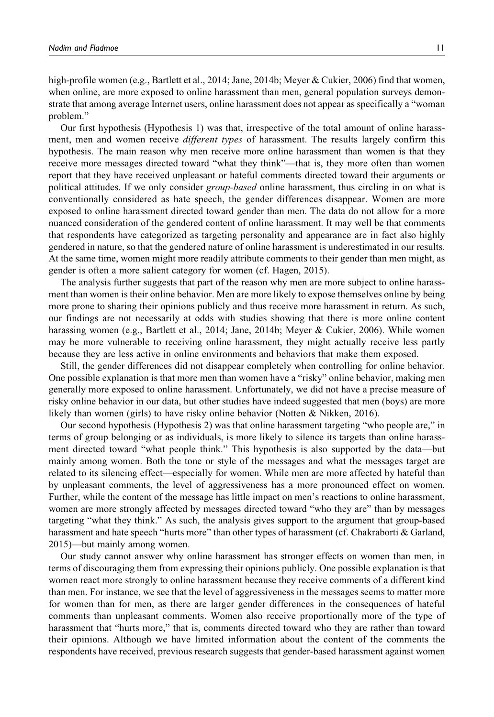high-profile women (e.g., Bartlett et al., 2014; Jane, 2014b; Meyer & Cukier, 2006) find that women, when online, are more exposed to online harassment than men, general population surveys demonstrate that among average Internet users, online harassment does not appear as specifically a "woman problem."

Our first hypothesis (Hypothesis 1) was that, irrespective of the total amount of online harassment, men and women receive *different types* of harassment. The results largely confirm this hypothesis. The main reason why men receive more online harassment than women is that they receive more messages directed toward "what they think"—that is, they more often than women report that they have received unpleasant or hateful comments directed toward their arguments or political attitudes. If we only consider group-based online harassment, thus circling in on what is conventionally considered as hate speech, the gender differences disappear. Women are more exposed to online harassment directed toward gender than men. The data do not allow for a more nuanced consideration of the gendered content of online harassment. It may well be that comments that respondents have categorized as targeting personality and appearance are in fact also highly gendered in nature, so that the gendered nature of online harassment is underestimated in our results. At the same time, women might more readily attribute comments to their gender than men might, as gender is often a more salient category for women (cf. Hagen, 2015).

The analysis further suggests that part of the reason why men are more subject to online harassment than women is their online behavior. Men are more likely to expose themselves online by being more prone to sharing their opinions publicly and thus receive more harassment in return. As such, our findings are not necessarily at odds with studies showing that there is more online content harassing women (e.g., Bartlett et al., 2014; Jane, 2014b; Meyer & Cukier, 2006). While women may be more vulnerable to receiving online harassment, they might actually receive less partly because they are less active in online environments and behaviors that make them exposed.

Still, the gender differences did not disappear completely when controlling for online behavior. One possible explanation is that more men than women have a "risky" online behavior, making men generally more exposed to online harassment. Unfortunately, we did not have a precise measure of risky online behavior in our data, but other studies have indeed suggested that men (boys) are more likely than women (girls) to have risky online behavior (Notten & Nikken, 2016).

Our second hypothesis (Hypothesis 2) was that online harassment targeting "who people are," in terms of group belonging or as individuals, is more likely to silence its targets than online harassment directed toward "what people think." This hypothesis is also supported by the data—but mainly among women. Both the tone or style of the messages and what the messages target are related to its silencing effect—especially for women. While men are more affected by hateful than by unpleasant comments, the level of aggressiveness has a more pronounced effect on women. Further, while the content of the message has little impact on men's reactions to online harassment, women are more strongly affected by messages directed toward "who they are" than by messages targeting "what they think." As such, the analysis gives support to the argument that group-based harassment and hate speech "hurts more" than other types of harassment (cf. Chakraborti & Garland, 2015)—but mainly among women.

Our study cannot answer why online harassment has stronger effects on women than men, in terms of discouraging them from expressing their opinions publicly. One possible explanation is that women react more strongly to online harassment because they receive comments of a different kind than men. For instance, we see that the level of aggressiveness in the messages seems to matter more for women than for men, as there are larger gender differences in the consequences of hateful comments than unpleasant comments. Women also receive proportionally more of the type of harassment that "hurts more," that is, comments directed toward who they are rather than toward their opinions. Although we have limited information about the content of the comments the respondents have received, previous research suggests that gender-based harassment against women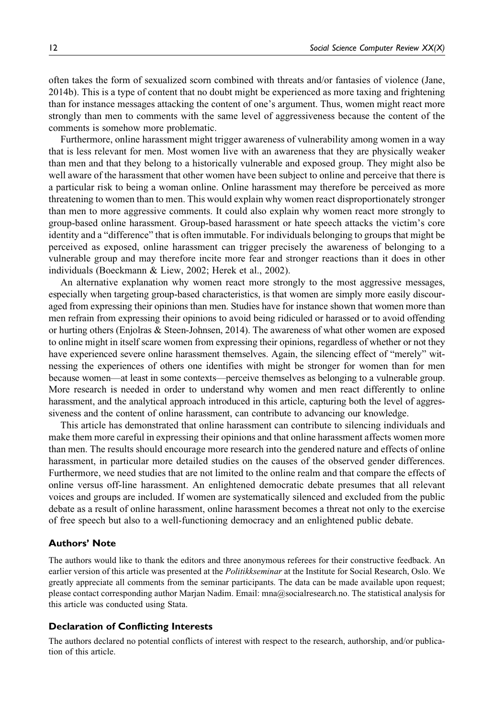often takes the form of sexualized scorn combined with threats and/or fantasies of violence (Jane, 2014b). This is a type of content that no doubt might be experienced as more taxing and frightening than for instance messages attacking the content of one's argument. Thus, women might react more strongly than men to comments with the same level of aggressiveness because the content of the comments is somehow more problematic.

Furthermore, online harassment might trigger awareness of vulnerability among women in a way that is less relevant for men. Most women live with an awareness that they are physically weaker than men and that they belong to a historically vulnerable and exposed group. They might also be well aware of the harassment that other women have been subject to online and perceive that there is a particular risk to being a woman online. Online harassment may therefore be perceived as more threatening to women than to men. This would explain why women react disproportionately stronger than men to more aggressive comments. It could also explain why women react more strongly to group-based online harassment. Group-based harassment or hate speech attacks the victim's core identity and a "difference" that is often immutable. For individuals belonging to groups that might be perceived as exposed, online harassment can trigger precisely the awareness of belonging to a vulnerable group and may therefore incite more fear and stronger reactions than it does in other individuals (Boeckmann & Liew, 2002; Herek et al., 2002).

An alternative explanation why women react more strongly to the most aggressive messages, especially when targeting group-based characteristics, is that women are simply more easily discouraged from expressing their opinions than men. Studies have for instance shown that women more than men refrain from expressing their opinions to avoid being ridiculed or harassed or to avoid offending or hurting others (Enjolras & Steen-Johnsen, 2014). The awareness of what other women are exposed to online might in itself scare women from expressing their opinions, regardless of whether or not they have experienced severe online harassment themselves. Again, the silencing effect of "merely" witnessing the experiences of others one identifies with might be stronger for women than for men because women—at least in some contexts—perceive themselves as belonging to a vulnerable group. More research is needed in order to understand why women and men react differently to online harassment, and the analytical approach introduced in this article, capturing both the level of aggressiveness and the content of online harassment, can contribute to advancing our knowledge.

This article has demonstrated that online harassment can contribute to silencing individuals and make them more careful in expressing their opinions and that online harassment affects women more than men. The results should encourage more research into the gendered nature and effects of online harassment, in particular more detailed studies on the causes of the observed gender differences. Furthermore, we need studies that are not limited to the online realm and that compare the effects of online versus off-line harassment. An enlightened democratic debate presumes that all relevant voices and groups are included. If women are systematically silenced and excluded from the public debate as a result of online harassment, online harassment becomes a threat not only to the exercise of free speech but also to a well-functioning democracy and an enlightened public debate.

#### Authors' Note

The authors would like to thank the editors and three anonymous referees for their constructive feedback. An earlier version of this article was presented at the *Politikkseminar* at the Institute for Social Research, Oslo. We greatly appreciate all comments from the seminar participants. The data can be made available upon request; please contact corresponding author Marjan Nadim. Email: mna@socialresearch.no. The statistical analysis for this article was conducted using Stata.

#### Declaration of Conflicting Interests

The authors declared no potential conflicts of interest with respect to the research, authorship, and/or publication of this article.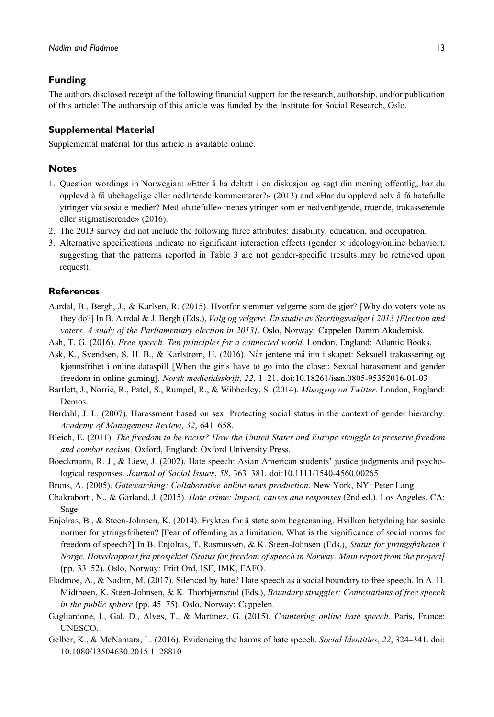#### Funding

The authors disclosed receipt of the following financial support for the research, authorship, and/or publication of this article: The authorship of this article was funded by the Institute for Social Research, Oslo.

## Supplemental Material

Supplemental material for this article is available online.

## **Notes**

- 1. Question wordings in Norwegian: «Etter a˚ ha deltatt i en diskusjon og sagt din mening offentlig, har du opplevd a˚ fa˚ ubehagelige eller nedlatende kommentarer?» (2013) and «Har du opplevd selv a˚ fa˚ hatefulle ytringer via sosiale medier? Med «hatefulle» menes ytringer som er nedverdigende, truende, trakasserende eller stigmatiserende» (2016).
- 2. The 2013 survey did not include the following three attributes: disability, education, and occupation.
- 3. Alternative specifications indicate no significant interaction effects (gender  $\times$  ideology/online behavior), suggesting that the patterns reported in Table 3 are not gender-specific (results may be retrieved upon request).

#### **References**

- Aardal, B., Bergh, J., & Karlsen, R. (2015). Hvorfor stemmer velgerne som de gjør? [Why do voters vote as they do?] In B. Aardal & J. Bergh (Eds.), Valg og velgere. En studie av Stortingsvalget i 2013 [Election and voters. A study of the Parliamentary election in 2013]. Oslo, Norway: Cappelen Damm Akademisk.
- Ash, T. G. (2016). Free speech. Ten principles for a connected world. London, England: Atlantic Books.
- Ask, K., Svendsen, S. H. B., & Karlstrøm, H. (2016). Når jentene må inn i skapet: Seksuell trakassering og kjønnsfrihet i online dataspill [When the girls have to go into the closet: Sexual harassment and gender freedom in online gaming]. Norsk medietidsskrift, 22, 1–21. doi:10.18261/issn.0805-95352016-01-03
- Bartlett, J., Norrie, R., Patel, S., Rumpel, R., & Wibberley, S. (2014). Misogyny on Twitter. London, England: Demos.
- Berdahl, J. L. (2007). Harassment based on sex: Protecting social status in the context of gender hierarchy. Academy of Management Review, 32, 641–658.
- Bleich, E. (2011). The freedom to be racist? How the United States and Europe struggle to preserve freedom and combat racism. Oxford, England: Oxford University Press.
- Boeckmann, R. J., & Liew, J. (2002). Hate speech: Asian American students' justice judgments and psychological responses. Journal of Social Issues, 58, 363–381. doi:10.1111/1540-4560.00265
- Bruns, A. (2005). Gatewatching: Collaborative online news production. New York, NY: Peter Lang.
- Chakraborti, N., & Garland, J. (2015). Hate crime: Impact, causes and responses (2nd ed.). Los Angeles, CA: Sage.
- Enjolras, B., & Steen-Johnsen, K. (2014). Frykten for å støte som begrensning. Hvilken betydning har sosiale normer for ytringsfriheten? [Fear of offending as a limitation. What is the significance of social norms for freedom of speech?] In B. Enjolras, T. Rasmussen, & K. Steen-Johnsen (Eds.), Status for ytringsfriheten i Norge. Hovedrapport fra prosjektet [Status for freedom of speech in Norway. Main report from the project] (pp. 33–52). Oslo, Norway: Fritt Ord, ISF, IMK, FAFO.
- Fladmoe, A., & Nadim, M. (2017). Silenced by hate? Hate speech as a social boundary to free speech. In A. H. Midtbøen, K. Steen-Johnsen, & K. Thorbjørnsrud (Eds.), Boundary struggles: Contestations of free speech in the public sphere (pp. 45–75). Oslo, Norway: Cappelen.
- Gagliardone, I., Gal, D., Alves, T., & Martinez, G. (2015). Countering online hate speech. Paris, France: UNESCO.
- Gelber, K., & McNamara, L. (2016). Evidencing the harms of hate speech. Social Identities, 22, 324–341. doi: 10.1080/13504630.2015.1128810